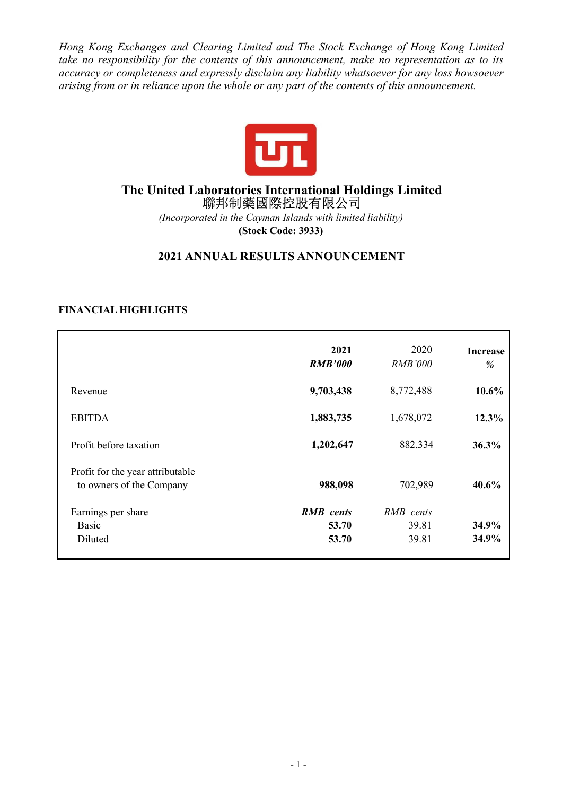*Hong Kong Exchanges and Clearing Limited and The Stock Exchange of Hong Kong Limited take no responsibility for the contents of this announcement, make no representation as to its accuracy or completeness and expressly disclaim any liability whatsoever for any loss howsoever arising from or in reliance upon the whole or any part of the contents of this announcement.* 



# **The United Laboratories International Holdings Limited**  聯邦制藥國際控股有限公司

*(Incorporated in the Cayman Islands with limited liability)*  **(Stock Code: 3933)** 

# **2021 ANNUAL RESULTS ANNOUNCEMENT**

## **FINANCIAL HIGHLIGHTS**

|                                                              | 2021<br><b>RMB'000</b> | 2020<br><b>RMB'000</b> | <b>Increase</b><br>% |
|--------------------------------------------------------------|------------------------|------------------------|----------------------|
| Revenue                                                      | 9,703,438              | 8,772,488              | $10.6\%$             |
| <b>EBITDA</b>                                                | 1,883,735              | 1,678,072              | 12.3%                |
| Profit before taxation                                       | 1,202,647              | 882,334                | 36.3%                |
| Profit for the year attributable<br>to owners of the Company | 988,098                | 702,989                | 40.6%                |
| Earnings per share                                           | <b>RMB</b> cents       | RMB cents              |                      |
| <b>Basic</b>                                                 | 53.70                  | 39.81                  | 34.9%                |
| Diluted                                                      | 53.70                  | 39.81                  | 34.9%                |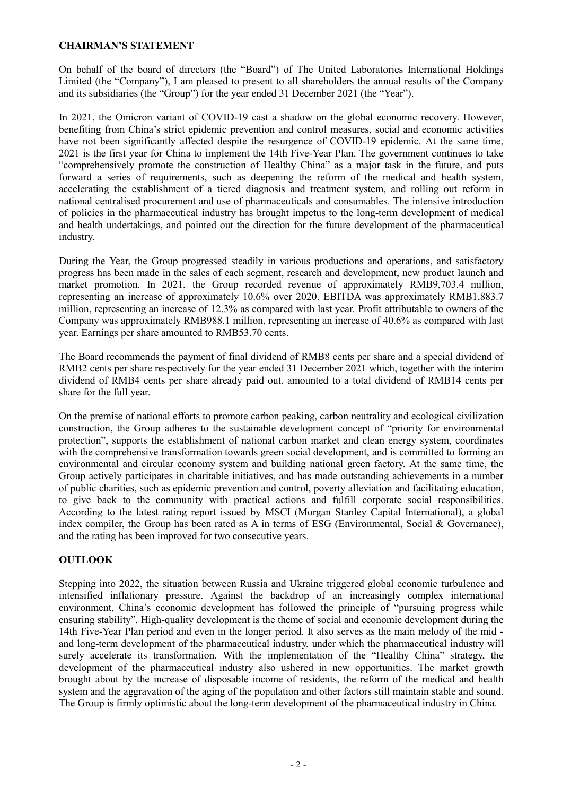## **CHAIRMAN'S STATEMENT**

On behalf of the board of directors (the "Board") of The United Laboratories International Holdings Limited (the "Company"), I am pleased to present to all shareholders the annual results of the Company and its subsidiaries (the "Group") for the year ended 31 December 2021 (the "Year").

In 2021, the Omicron variant of COVID-19 cast a shadow on the global economic recovery. However, benefiting from China's strict epidemic prevention and control measures, social and economic activities have not been significantly affected despite the resurgence of COVID-19 epidemic. At the same time, 2021 is the first year for China to implement the 14th Five-Year Plan. The government continues to take "comprehensively promote the construction of Healthy China" as a major task in the future, and puts forward a series of requirements, such as deepening the reform of the medical and health system, accelerating the establishment of a tiered diagnosis and treatment system, and rolling out reform in national centralised procurement and use of pharmaceuticals and consumables. The intensive introduction of policies in the pharmaceutical industry has brought impetus to the long-term development of medical and health undertakings, and pointed out the direction for the future development of the pharmaceutical industry.

During the Year, the Group progressed steadily in various productions and operations, and satisfactory progress has been made in the sales of each segment, research and development, new product launch and market promotion. In 2021, the Group recorded revenue of approximately RMB9,703.4 million, representing an increase of approximately 10.6% over 2020. EBITDA was approximately RMB1,883.7 million, representing an increase of 12.3% as compared with last year. Profit attributable to owners of the Company was approximately RMB988.1 million, representing an increase of 40.6% as compared with last year. Earnings per share amounted to RMB53.70 cents.

The Board recommends the payment of final dividend of RMB8 cents per share and a special dividend of RMB2 cents per share respectively for the year ended 31 December 2021 which, together with the interim dividend of RMB4 cents per share already paid out, amounted to a total dividend of RMB14 cents per share for the full year.

On the premise of national efforts to promote carbon peaking, carbon neutrality and ecological civilization construction, the Group adheres to the sustainable development concept of "priority for environmental protection", supports the establishment of national carbon market and clean energy system, coordinates with the comprehensive transformation towards green social development, and is committed to forming an environmental and circular economy system and building national green factory. At the same time, the Group actively participates in charitable initiatives, and has made outstanding achievements in a number of public charities, such as epidemic prevention and control, poverty alleviation and facilitating education, to give back to the community with practical actions and fulfill corporate social responsibilities. According to the latest rating report issued by MSCI (Morgan Stanley Capital International), a global index compiler, the Group has been rated as A in terms of ESG (Environmental, Social  $\&$  Governance), and the rating has been improved for two consecutive years.

## **OUTLOOK**

Stepping into 2022, the situation between Russia and Ukraine triggered global economic turbulence and intensified inflationary pressure. Against the backdrop of an increasingly complex international environment, China's economic development has followed the principle of "pursuing progress while ensuring stability". High-quality development is the theme of social and economic development during the 14th Five-Year Plan period and even in the longer period. It also serves as the main melody of the mid and long-term development of the pharmaceutical industry, under which the pharmaceutical industry will surely accelerate its transformation. With the implementation of the "Healthy China" strategy, the development of the pharmaceutical industry also ushered in new opportunities. The market growth brought about by the increase of disposable income of residents, the reform of the medical and health system and the aggravation of the aging of the population and other factors still maintain stable and sound. The Group is firmly optimistic about the long-term development of the pharmaceutical industry in China.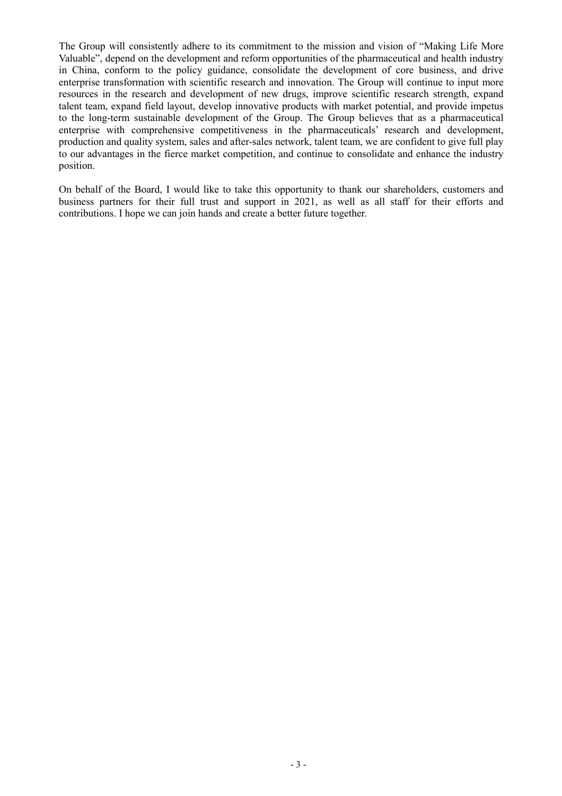The Group will consistently adhere to its commitment to the mission and vision of "Making Life More Valuable", depend on the development and reform opportunities of the pharmaceutical and health industry in China, conform to the policy guidance, consolidate the development of core business, and drive enterprise transformation with scientific research and innovation. The Group will continue to input more resources in the research and development of new drugs, improve scientific research strength, expand talent team, expand field layout, develop innovative products with market potential, and provide impetus to the long-term sustainable development of the Group. The Group believes that as a pharmaceutical enterprise with comprehensive competitiveness in the pharmaceuticals' research and development, production and quality system, sales and after-sales network, talent team, we are confident to give full play to our advantages in the fierce market competition, and continue to consolidate and enhance the industry position.

On behalf of the Board, I would like to take this opportunity to thank our shareholders, customers and business partners for their full trust and support in 2021, as well as all staff for their efforts and contributions. I hope we can join hands and create a better future together.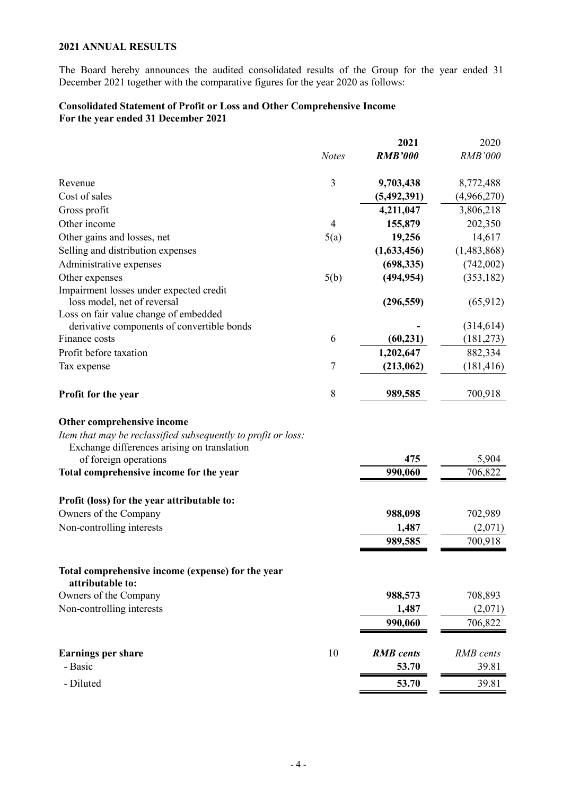## **2021 ANNUAL RESULTS**

The Board hereby announces the audited consolidated results of the Group for the year ended 31 December 2021 together with the comparative figures for the year 2020 as follows:

## **Consolidated Statement of Profit or Loss and Other Comprehensive Income For the year ended 31 December 2021**

|                                                                                                                                            |                | 2021             | 2020           |
|--------------------------------------------------------------------------------------------------------------------------------------------|----------------|------------------|----------------|
|                                                                                                                                            | <b>Notes</b>   | <b>RMB'000</b>   | <b>RMB'000</b> |
| Revenue                                                                                                                                    | 3              | 9,703,438        | 8,772,488      |
| Cost of sales                                                                                                                              |                | (5, 492, 391)    | (4,966,270)    |
| Gross profit                                                                                                                               |                | 4,211,047        | 3,806,218      |
| Other income                                                                                                                               | $\overline{4}$ | 155,879          | 202,350        |
| Other gains and losses, net                                                                                                                | 5(a)           | 19,256           | 14,617         |
| Selling and distribution expenses                                                                                                          |                | (1,633,456)      | (1,483,868)    |
| Administrative expenses                                                                                                                    |                | (698, 335)       | (742,002)      |
| Other expenses                                                                                                                             | 5(b)           | (494, 954)       | (353, 182)     |
| Impairment losses under expected credit<br>loss model, net of reversal                                                                     |                | (296, 559)       | (65, 912)      |
| Loss on fair value change of embedded                                                                                                      |                |                  |                |
| derivative components of convertible bonds                                                                                                 |                |                  | (314, 614)     |
| Finance costs                                                                                                                              | 6              | (60, 231)        | (181, 273)     |
| Profit before taxation                                                                                                                     |                | 1,202,647        | 882,334        |
| Tax expense                                                                                                                                | 7              | (213,062)        | (181, 416)     |
| Profit for the year                                                                                                                        | 8              | 989,585          | 700,918        |
| Other comprehensive income<br>Item that may be reclassified subsequently to profit or loss:<br>Exchange differences arising on translation |                |                  |                |
| of foreign operations                                                                                                                      |                | 475              | 5,904          |
| Total comprehensive income for the year                                                                                                    |                | 990,060          | 706,822        |
| Profit (loss) for the year attributable to:                                                                                                |                |                  |                |
| Owners of the Company                                                                                                                      |                | 988,098          | 702,989        |
| Non-controlling interests                                                                                                                  |                | 1,487            | (2,071)        |
|                                                                                                                                            |                | 989,585          | 700,918        |
| Total comprehensive income (expense) for the year<br>attributable to:                                                                      |                |                  |                |
| Owners of the Company                                                                                                                      |                | 988,573          | 708,893        |
| Non-controlling interests                                                                                                                  |                | 1,487            | (2,071)        |
|                                                                                                                                            |                | 990,060          | 706,822        |
| <b>Earnings per share</b>                                                                                                                  | 10             | <b>RMB</b> cents | RMB cents      |
| - Basic                                                                                                                                    |                | 53.70            | 39.81          |
| - Diluted                                                                                                                                  |                | 53.70            | 39.81          |
|                                                                                                                                            |                |                  |                |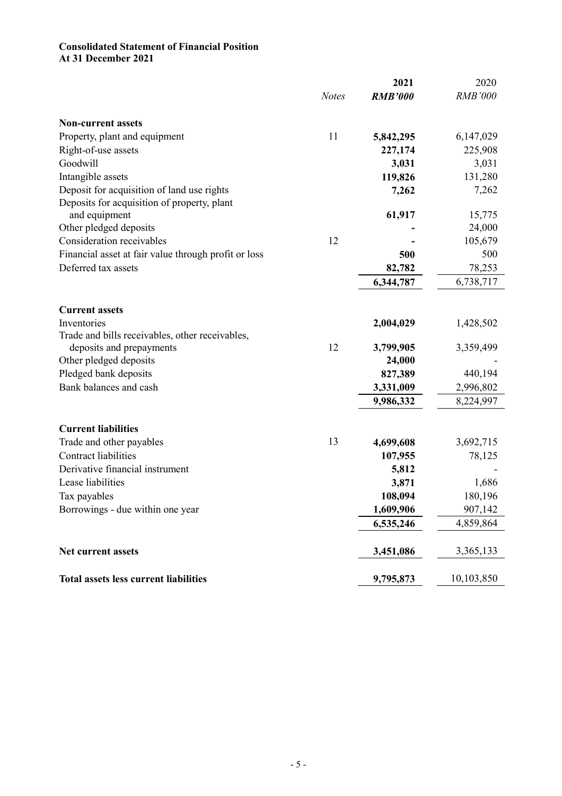#### **Consolidated Statement of Financial Position At 31 December 2021**

|                                                      | 2021                           | 2020           |
|------------------------------------------------------|--------------------------------|----------------|
|                                                      | <b>Notes</b><br><b>RMB'000</b> | <b>RMB'000</b> |
| <b>Non-current assets</b>                            |                                |                |
| Property, plant and equipment<br>11                  | 5,842,295                      | 6,147,029      |
| Right-of-use assets                                  | 227,174                        | 225,908        |
| Goodwill                                             | 3,031                          | 3,031          |
| Intangible assets                                    | 119,826                        | 131,280        |
| Deposit for acquisition of land use rights           | 7,262                          | 7,262          |
| Deposits for acquisition of property, plant          |                                |                |
| and equipment                                        | 61,917                         | 15,775         |
| Other pledged deposits                               |                                | 24,000         |
| Consideration receivables                            | 12                             | 105,679        |
| Financial asset at fair value through profit or loss | 500                            | 500            |
| Deferred tax assets                                  | 82,782                         | 78,253         |
|                                                      | 6,344,787                      | 6,738,717      |
|                                                      |                                |                |
| <b>Current assets</b>                                |                                |                |
| Inventories                                          | 2,004,029                      | 1,428,502      |
| Trade and bills receivables, other receivables,      |                                |                |
| deposits and prepayments                             | 12<br>3,799,905                | 3,359,499      |
| Other pledged deposits                               | 24,000                         |                |
| Pledged bank deposits                                | 827,389                        | 440,194        |
| Bank balances and cash                               | 3,331,009                      | 2,996,802      |
|                                                      | 9,986,332                      | 8,224,997      |
| <b>Current liabilities</b>                           |                                |                |
| Trade and other payables                             | 13<br>4,699,608                | 3,692,715      |
| <b>Contract liabilities</b>                          | 107,955                        | 78,125         |
| Derivative financial instrument                      | 5,812                          |                |
| Lease liabilities                                    | 3,871                          | 1,686          |
| Tax payables                                         | 108,094                        | 180,196        |
| Borrowings - due within one year                     | 1,609,906                      | 907,142        |
|                                                      | 6,535,246                      | 4,859,864      |
|                                                      |                                |                |
| Net current assets                                   | 3,451,086                      | 3,365,133      |
| <b>Total assets less current liabilities</b>         | 9,795,873                      | 10,103,850     |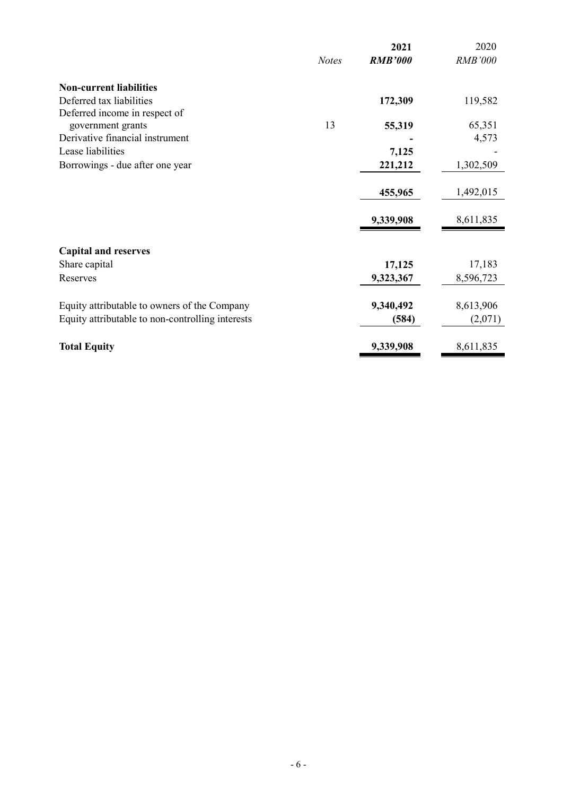|                                                  |              | 2021           | 2020           |
|--------------------------------------------------|--------------|----------------|----------------|
|                                                  | <b>Notes</b> | <b>RMB'000</b> | <b>RMB'000</b> |
| <b>Non-current liabilities</b>                   |              |                |                |
| Deferred tax liabilities                         |              | 172,309        | 119,582        |
| Deferred income in respect of                    |              |                |                |
| government grants                                | 13           | 55,319         | 65,351         |
| Derivative financial instrument                  |              |                | 4,573          |
| Lease liabilities                                |              | 7,125          |                |
| Borrowings - due after one year                  |              | 221,212        | 1,302,509      |
|                                                  |              |                |                |
|                                                  |              | 455,965        | 1,492,015      |
|                                                  |              | 9,339,908      | 8,611,835      |
|                                                  |              |                |                |
| <b>Capital and reserves</b>                      |              |                |                |
| Share capital                                    |              | 17,125         | 17,183         |
| Reserves                                         |              | 9,323,367      | 8,596,723      |
| Equity attributable to owners of the Company     |              | 9,340,492      | 8,613,906      |
| Equity attributable to non-controlling interests |              | (584)          | (2,071)        |
|                                                  |              |                |                |
| <b>Total Equity</b>                              |              | 9,339,908      | 8,611,835      |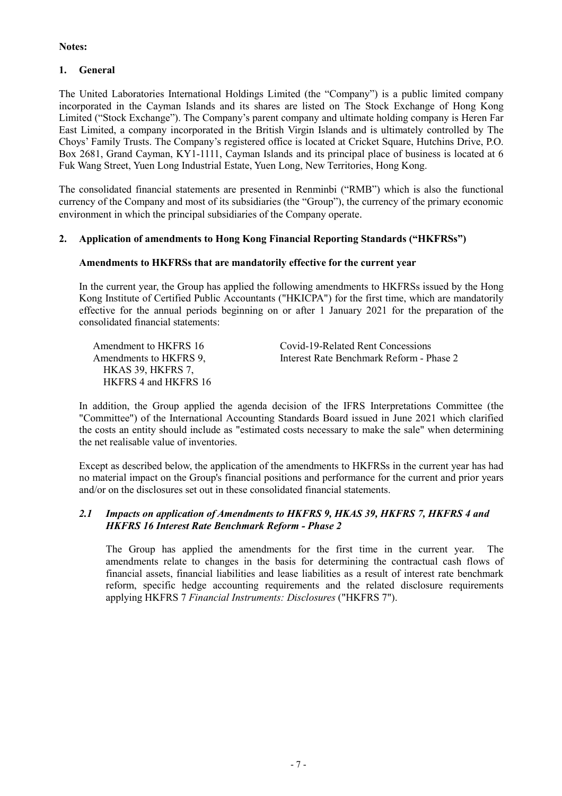## **Notes:**

## **1. General**

The United Laboratories International Holdings Limited (the "Company") is a public limited company incorporated in the Cayman Islands and its shares are listed on The Stock Exchange of Hong Kong Limited ("Stock Exchange"). The Company's parent company and ultimate holding company is Heren Far East Limited, a company incorporated in the British Virgin Islands and is ultimately controlled by The Choys' Family Trusts. The Company's registered office is located at Cricket Square, Hutchins Drive, P.O. Box 2681, Grand Cayman, KY1-1111, Cayman Islands and its principal place of business is located at 6 Fuk Wang Street, Yuen Long Industrial Estate, Yuen Long, New Territories, Hong Kong.

The consolidated financial statements are presented in Renminbi ("RMB") which is also the functional currency of the Company and most of its subsidiaries (the "Group"), the currency of the primary economic environment in which the principal subsidiaries of the Company operate.

## **2. Application of amendments to Hong Kong Financial Reporting Standards ("HKFRSs")**

## **Amendments to HKFRSs that are mandatorily effective for the current year**

In the current year, the Group has applied the following amendments to HKFRSs issued by the Hong Kong Institute of Certified Public Accountants ("HKICPA") for the first time, which are mandatorily effective for the annual periods beginning on or after 1 January 2021 for the preparation of the consolidated financial statements:

 HKAS 39, HKFRS 7, HKFRS 4 and HKFRS 16

 Amendment to HKFRS 16 Covid-19-Related Rent Concessions Amendments to HKFRS 9, Interest Rate Benchmark Reform - Phase 2

In addition, the Group applied the agenda decision of the IFRS Interpretations Committee (the "Committee") of the International Accounting Standards Board issued in June 2021 which clarified the costs an entity should include as "estimated costs necessary to make the sale" when determining the net realisable value of inventories.

Except as described below, the application of the amendments to HKFRSs in the current year has had no material impact on the Group's financial positions and performance for the current and prior years and/or on the disclosures set out in these consolidated financial statements.

## *2.1 Impacts on application of Amendments to HKFRS 9, HKAS 39, HKFRS 7, HKFRS 4 and HKFRS 16 Interest Rate Benchmark Reform - Phase 2*

The Group has applied the amendments for the first time in the current year. The amendments relate to changes in the basis for determining the contractual cash flows of financial assets, financial liabilities and lease liabilities as a result of interest rate benchmark reform, specific hedge accounting requirements and the related disclosure requirements applying HKFRS 7 *Financial Instruments: Disclosures* ("HKFRS 7").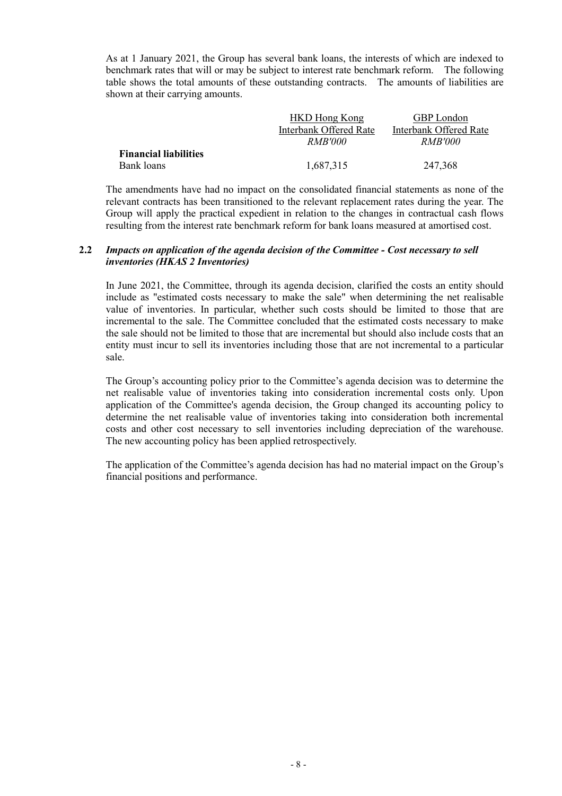As at 1 January 2021, the Group has several bank loans, the interests of which are indexed to benchmark rates that will or may be subject to interest rate benchmark reform. The following table shows the total amounts of these outstanding contracts. The amounts of liabilities are shown at their carrying amounts.

|                              | <b>HKD Hong Kong</b>   | <b>GBP</b> London      |
|------------------------------|------------------------|------------------------|
|                              | Interbank Offered Rate | Interbank Offered Rate |
|                              | <i>RMB'000</i>         | <i>RMB'000</i>         |
| <b>Financial liabilities</b> |                        |                        |
| Bank loans                   | 1,687,315              | 247,368                |

The amendments have had no impact on the consolidated financial statements as none of the relevant contracts has been transitioned to the relevant replacement rates during the year. The Group will apply the practical expedient in relation to the changes in contractual cash flows resulting from the interest rate benchmark reform for bank loans measured at amortised cost.

#### **2.2** *Impacts on application of the agenda decision of the Committee - Cost necessary to sell inventories (HKAS 2 Inventories)*

In June 2021, the Committee, through its agenda decision, clarified the costs an entity should include as "estimated costs necessary to make the sale" when determining the net realisable value of inventories. In particular, whether such costs should be limited to those that are incremental to the sale. The Committee concluded that the estimated costs necessary to make the sale should not be limited to those that are incremental but should also include costs that an entity must incur to sell its inventories including those that are not incremental to a particular sale.

The Group's accounting policy prior to the Committee's agenda decision was to determine the net realisable value of inventories taking into consideration incremental costs only. Upon application of the Committee's agenda decision, the Group changed its accounting policy to determine the net realisable value of inventories taking into consideration both incremental costs and other cost necessary to sell inventories including depreciation of the warehouse. The new accounting policy has been applied retrospectively.

The application of the Committee's agenda decision has had no material impact on the Group's financial positions and performance.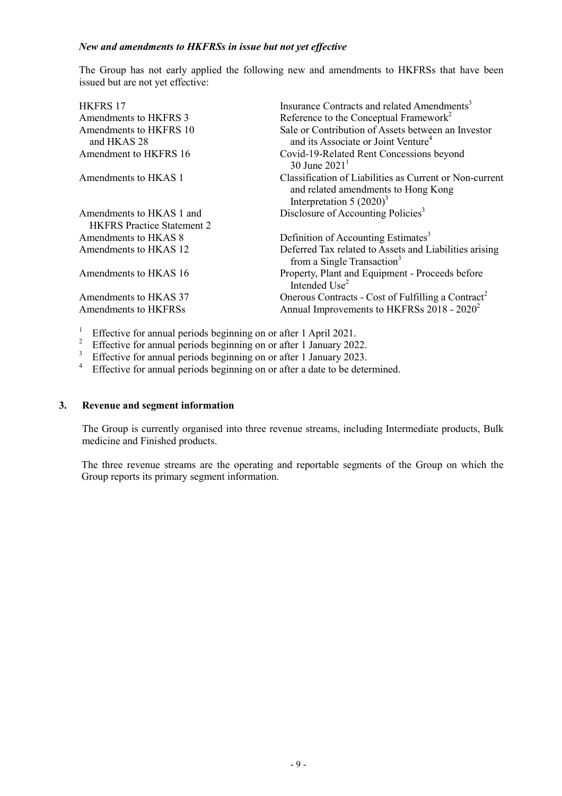#### *New and amendments to HKFRSs in issue but not yet effective*

The Group has not early applied the following new and amendments to HKFRSs that have been issued but are not yet effective:

| <b>HKFRS 17</b>                                               | Insurance Contracts and related Amendments <sup>3</sup>                                                                       |
|---------------------------------------------------------------|-------------------------------------------------------------------------------------------------------------------------------|
| Amendments to HKFRS 3                                         | Reference to the Conceptual Framework <sup>2</sup>                                                                            |
| Amendments to HKFRS 10<br>and HKAS 28                         | Sale or Contribution of Assets between an Investor<br>and its Associate or Joint Venture <sup>4</sup>                         |
| Amendment to HKFRS 16                                         | Covid-19-Related Rent Concessions beyond<br>30 June $2021^1$                                                                  |
| Amendments to HKAS 1                                          | Classification of Liabilities as Current or Non-current<br>and related amendments to Hong Kong<br>Interpretation 5 $(2020)^3$ |
| Amendments to HKAS 1 and<br><b>HKFRS</b> Practice Statement 2 | Disclosure of Accounting Policies <sup>3</sup>                                                                                |
| Amendments to HKAS 8                                          | Definition of Accounting Estimates <sup>3</sup>                                                                               |
| Amendments to HKAS 12                                         | Deferred Tax related to Assets and Liabilities arising<br>from a Single Transaction <sup>3</sup>                              |
| Amendments to HKAS 16                                         | Property, Plant and Equipment - Proceeds before<br>Intended Use <sup>2</sup>                                                  |
| Amendments to HKAS 37                                         | Onerous Contracts - Cost of Fulfilling a Contract <sup>2</sup>                                                                |
| Amendments to HKFRSs                                          | Annual Improvements to HKFRSs 2018 - 2020 <sup>2</sup>                                                                        |

<sup>1</sup> Effective for annual periods beginning on or after 1 April 2021.

<sup>2</sup> Effective for annual periods beginning on or after 1 January 2022.

<sup>3</sup> Effective for annual periods beginning on or after 1 January 2023.

<sup>4</sup> Effective for annual periods beginning on or after a date to be determined.

#### **3. Revenue and segment information**

The Group is currently organised into three revenue streams, including Intermediate products, Bulk medicine and Finished products.

The three revenue streams are the operating and reportable segments of the Group on which the Group reports its primary segment information.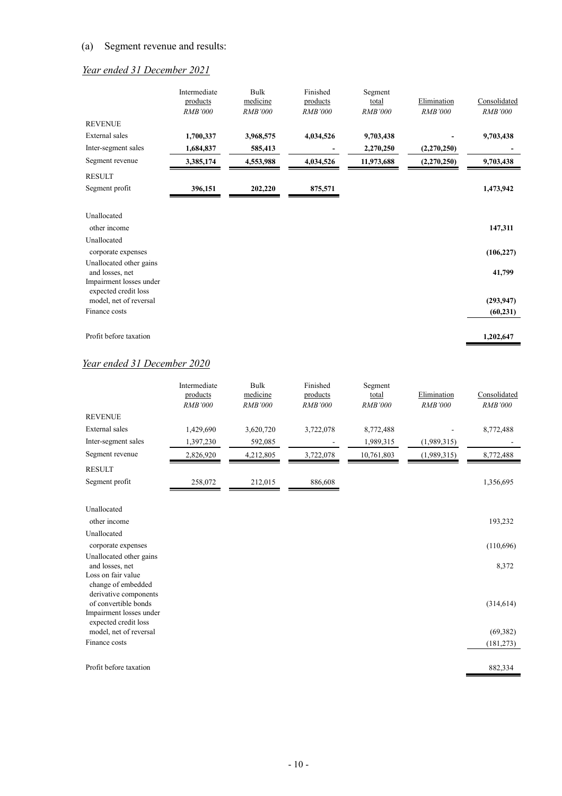## (a) Segment revenue and results:

# *Year ended 31 December 2021*

|                                            | Intermediate<br>products | <b>Bulk</b><br>medicine | Finished<br>products | Segment<br>total | Elimination    | Consolidated   |
|--------------------------------------------|--------------------------|-------------------------|----------------------|------------------|----------------|----------------|
|                                            | <b>RMB'000</b>           | <b>RMB'000</b>          | <b>RMB'000</b>       | <b>RMB'000</b>   | <b>RMB'000</b> | <b>RMB'000</b> |
| <b>REVENUE</b>                             |                          |                         |                      |                  |                |                |
| <b>External</b> sales                      | 1,700,337                | 3,968,575               | 4,034,526            | 9,703,438        |                | 9,703,438      |
| Inter-segment sales                        | 1,684,837                | 585,413                 |                      | 2,270,250        | (2,270,250)    |                |
| Segment revenue                            | 3,385,174                | 4,553,988               | 4,034,526            | 11,973,688       | (2,270,250)    | 9,703,438      |
| <b>RESULT</b>                              |                          |                         |                      |                  |                |                |
| Segment profit                             | 396,151                  | 202,220                 | 875,571              |                  |                | 1,473,942      |
|                                            |                          |                         |                      |                  |                |                |
| Unallocated                                |                          |                         |                      |                  |                |                |
| other income                               |                          |                         |                      |                  |                | 147,311        |
| Unallocated                                |                          |                         |                      |                  |                |                |
| corporate expenses                         |                          |                         |                      |                  |                | (106, 227)     |
| Unallocated other gains                    |                          |                         |                      |                  |                |                |
| and losses, net<br>Impairment losses under |                          |                         |                      |                  |                | 41,799         |
| expected credit loss                       |                          |                         |                      |                  |                |                |
| model, net of reversal                     |                          |                         |                      |                  |                | (293, 947)     |
| Finance costs                              |                          |                         |                      |                  |                | (60, 231)      |
| Profit before taxation                     |                          |                         |                      |                  |                | 1,202,647      |

# *Year ended 31 December 2020*

|                     | Intermediate<br>products<br><b>RMB'000</b> | Bulk<br>medicine<br><b>RMB'000</b> | Finished<br>products<br><b>RMB'000</b> | Segment<br>total<br><b>RMB'000</b> | Elimination<br><b>RMB'000</b> | Consolidated<br><b>RMB'000</b> |
|---------------------|--------------------------------------------|------------------------------------|----------------------------------------|------------------------------------|-------------------------------|--------------------------------|
| <b>REVENUE</b>      |                                            |                                    |                                        |                                    |                               |                                |
| External sales      | 1,429,690                                  | 3,620,720                          | 3,722,078                              | 8,772,488                          |                               | 8,772,488                      |
| Inter-segment sales | 1,397,230                                  | 592,085                            |                                        | 1,989,315                          | (1,989,315)                   |                                |
| Segment revenue     | 2,826,920                                  | 4,212,805                          | 3,722,078                              | 10,761,803                         | (1,989,315)                   | 8,772,488                      |
| <b>RESULT</b>       |                                            |                                    |                                        |                                    |                               |                                |
| Segment profit      | 258,072                                    | 212,015                            | 886,608                                |                                    |                               | 1,356,695                      |
| Unallocated         |                                            |                                    |                                        |                                    |                               |                                |

| other income            | 193,232    |
|-------------------------|------------|
| Unallocated             |            |
| corporate expenses      | (110,696)  |
| Unallocated other gains |            |
| and losses, net         | 8,372      |
| Loss on fair value      |            |
| change of embedded      |            |
| derivative components   |            |
| of convertible bonds    | (314, 614) |
| Impairment losses under |            |
| expected credit loss    |            |
| model, net of reversal  | (69, 382)  |
| Finance costs           | (181, 273) |
|                         |            |
| Profit before taxation  | 882,334    |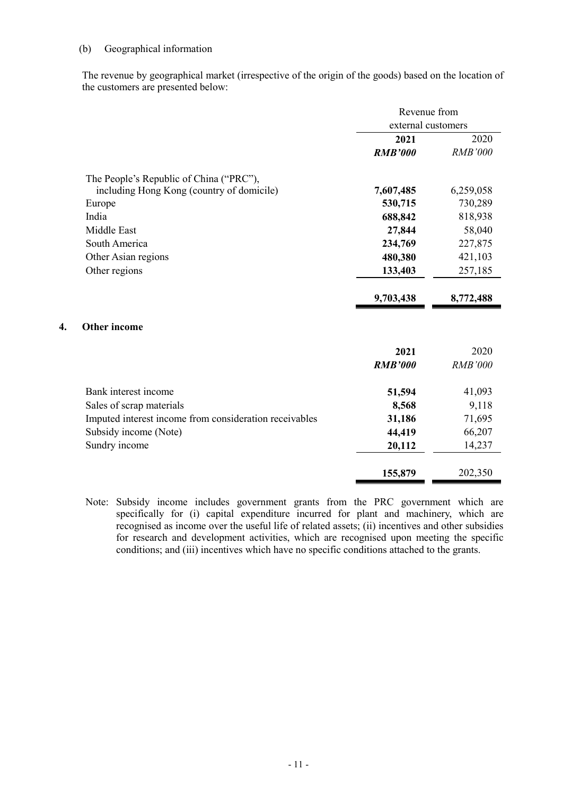## (b) Geographical information

The revenue by geographical market (irrespective of the origin of the goods) based on the location of the customers are presented below:

|                                                        | Revenue from       |                |
|--------------------------------------------------------|--------------------|----------------|
|                                                        | external customers |                |
|                                                        | 2021               | 2020           |
|                                                        | <b>RMB'000</b>     | <b>RMB'000</b> |
| The People's Republic of China ("PRC"),                |                    |                |
| including Hong Kong (country of domicile)              | 7,607,485          | 6,259,058      |
| Europe                                                 | 530,715            | 730,289        |
| India                                                  | 688,842            | 818,938        |
| Middle East                                            | 27,844             | 58,040         |
| South America                                          | 234,769            | 227,875        |
| Other Asian regions                                    | 480,380            | 421,103        |
| Other regions                                          | 133,403            | 257,185        |
|                                                        | 9,703,438          | 8,772,488      |
| <b>Other income</b><br>4.                              |                    |                |
|                                                        | 2021               | 2020           |
|                                                        | <b>RMB'000</b>     | <b>RMB'000</b> |
| Bank interest income                                   | 51,594             | 41,093         |
| Sales of scrap materials                               | 8,568              | 9,118          |
| Imputed interest income from consideration receivables | 31,186             | 71,695         |
| Subsidy income (Note)                                  | 44,419             | 66,207         |
| Sundry income                                          | 20,112             | 14,237         |
|                                                        | 155,879            | 202,350        |

Note: Subsidy income includes government grants from the PRC government which are specifically for (i) capital expenditure incurred for plant and machinery, which are recognised as income over the useful life of related assets; (ii) incentives and other subsidies for research and development activities, which are recognised upon meeting the specific conditions; and (iii) incentives which have no specific conditions attached to the grants.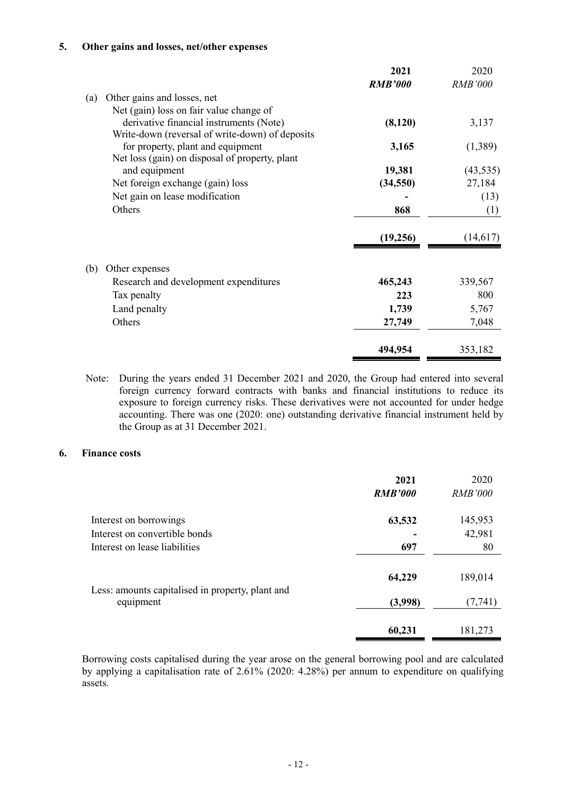#### **5. Other gains and losses, net/other expenses**

|     |                                                 | 2021           | 2020           |
|-----|-------------------------------------------------|----------------|----------------|
|     |                                                 | <b>RMB'000</b> | <b>RMB'000</b> |
| (a) | Other gains and losses, net                     |                |                |
|     | Net (gain) loss on fair value change of         |                |                |
|     | derivative financial instruments (Note)         | (8,120)        | 3,137          |
|     | Write-down (reversal of write-down) of deposits |                |                |
|     | for property, plant and equipment               | 3,165          | (1,389)        |
|     | Net loss (gain) on disposal of property, plant  |                |                |
|     | and equipment                                   | 19,381         | (43, 535)      |
|     | Net foreign exchange (gain) loss                | (34, 550)      | 27,184         |
|     | Net gain on lease modification                  |                | (13)           |
|     | Others                                          | 868            | (1)            |
|     |                                                 | (19,256)       | (14,617)       |
| (b) | Other expenses                                  |                |                |
|     | Research and development expenditures           | 465,243        | 339,567        |
|     | Tax penalty                                     | 223            | 800            |
|     | Land penalty                                    | 1,739          | 5,767          |
|     | Others                                          | 27,749         | 7,048          |
|     |                                                 | 494,954        | 353,182        |

Note: During the years ended 31 December 2021 and 2020, the Group had entered into several foreign currency forward contracts with banks and financial institutions to reduce its exposure to foreign currency risks. These derivatives were not accounted for under hedge accounting. There was one (2020: one) outstanding derivative financial instrument held by the Group as at 31 December 2021.

## **6. Finance costs**

|                                                               | 2021<br><b>RMB'000</b> | 2020<br><b>RMB'000</b> |
|---------------------------------------------------------------|------------------------|------------------------|
| Interest on borrowings                                        | 63,532                 | 145,953                |
| Interest on convertible bonds                                 |                        | 42,981                 |
| Interest on lease liabilities                                 | 697                    | 80                     |
|                                                               | 64,229                 | 189,014                |
| Less: amounts capitalised in property, plant and<br>equipment | (3,998)                | (7, 741)               |
|                                                               | 60,231                 | 181,273                |

Borrowing costs capitalised during the year arose on the general borrowing pool and are calculated by applying a capitalisation rate of 2.61% (2020: 4.28%) per annum to expenditure on qualifying assets.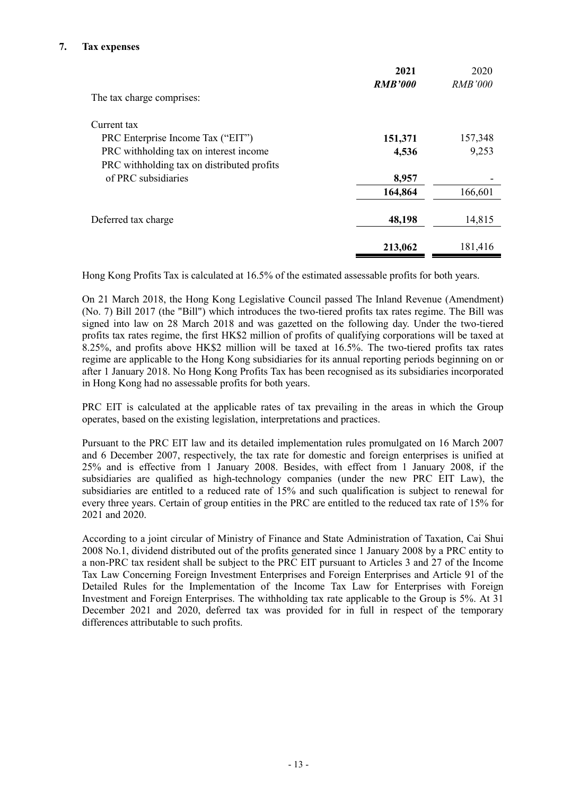## **7. Tax expenses**

|                                            | 2021<br><b>RMB'000</b> | 2020<br><b>RMB'000</b> |
|--------------------------------------------|------------------------|------------------------|
| The tax charge comprises:                  |                        |                        |
| Current tax                                |                        |                        |
| PRC Enterprise Income Tax ("EIT")          | 151,371                | 157,348                |
| PRC withholding tax on interest income     | 4,536                  | 9,253                  |
| PRC withholding tax on distributed profits |                        |                        |
| of PRC subsidiaries                        | 8,957                  |                        |
|                                            | 164,864                | 166,601                |
| Deferred tax charge                        | 48,198                 | 14,815                 |
|                                            | 213,062                | 181,416                |

Hong Kong Profits Tax is calculated at 16.5% of the estimated assessable profits for both years.

On 21 March 2018, the Hong Kong Legislative Council passed The Inland Revenue (Amendment) (No. 7) Bill 2017 (the "Bill") which introduces the two-tiered profits tax rates regime. The Bill was signed into law on 28 March 2018 and was gazetted on the following day. Under the two-tiered profits tax rates regime, the first HK\$2 million of profits of qualifying corporations will be taxed at 8.25%, and profits above HK\$2 million will be taxed at 16.5%. The two-tiered profits tax rates regime are applicable to the Hong Kong subsidiaries for its annual reporting periods beginning on or after 1 January 2018. No Hong Kong Profits Tax has been recognised as its subsidiaries incorporated in Hong Kong had no assessable profits for both years.

PRC EIT is calculated at the applicable rates of tax prevailing in the areas in which the Group operates, based on the existing legislation, interpretations and practices.

Pursuant to the PRC EIT law and its detailed implementation rules promulgated on 16 March 2007 and 6 December 2007, respectively, the tax rate for domestic and foreign enterprises is unified at 25% and is effective from 1 January 2008. Besides, with effect from 1 January 2008, if the subsidiaries are qualified as high-technology companies (under the new PRC EIT Law), the subsidiaries are entitled to a reduced rate of 15% and such qualification is subject to renewal for every three years. Certain of group entities in the PRC are entitled to the reduced tax rate of 15% for 2021 and 2020.

According to a joint circular of Ministry of Finance and State Administration of Taxation, Cai Shui 2008 No.1, dividend distributed out of the profits generated since 1 January 2008 by a PRC entity to a non-PRC tax resident shall be subject to the PRC EIT pursuant to Articles 3 and 27 of the Income Tax Law Concerning Foreign Investment Enterprises and Foreign Enterprises and Article 91 of the Detailed Rules for the Implementation of the Income Tax Law for Enterprises with Foreign Investment and Foreign Enterprises. The withholding tax rate applicable to the Group is 5%. At 31 December 2021 and 2020, deferred tax was provided for in full in respect of the temporary differences attributable to such profits.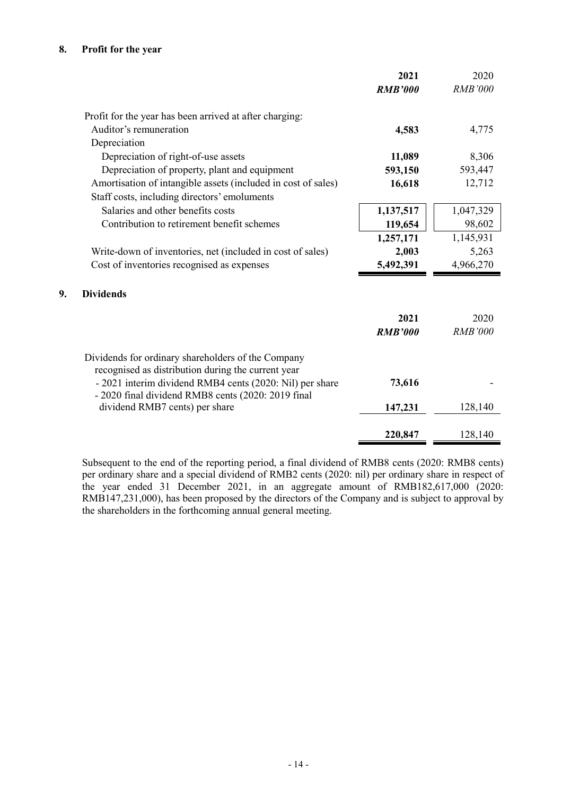## **8. Profit for the year**

**9. Dividends** 

|                                                                                                          | 2021           | 2020           |
|----------------------------------------------------------------------------------------------------------|----------------|----------------|
|                                                                                                          | <b>RMB'000</b> | <b>RMB'000</b> |
| Profit for the year has been arrived at after charging:                                                  |                |                |
| Auditor's remuneration                                                                                   | 4,583          | 4,775          |
| Depreciation                                                                                             |                |                |
| Depreciation of right-of-use assets                                                                      | 11,089         | 8,306          |
| Depreciation of property, plant and equipment                                                            | 593,150        | 593,447        |
| Amortisation of intangible assets (included in cost of sales)                                            | 16,618         | 12,712         |
| Staff costs, including directors' emoluments                                                             |                |                |
| Salaries and other benefits costs                                                                        | 1,137,517      | 1,047,329      |
| Contribution to retirement benefit schemes                                                               | 119,654        | 98,602         |
|                                                                                                          | 1,257,171      | 1,145,931      |
| Write-down of inventories, net (included in cost of sales)                                               | 2,003          | 5,263          |
| Cost of inventories recognised as expenses                                                               | 5,492,391      | 4,966,270      |
|                                                                                                          |                |                |
| <b>Dividends</b>                                                                                         |                |                |
|                                                                                                          | 2021           | 2020           |
|                                                                                                          | <b>RMB'000</b> | <b>RMB'000</b> |
|                                                                                                          |                |                |
| Dividends for ordinary shareholders of the Company<br>recognised as distribution during the current year |                |                |
| - 2021 interim dividend RMB4 cents (2020: Nil) per share                                                 | 73,616         |                |
| - 2020 final dividend RMB8 cents (2020: 2019 final<br>dividend RMB7 cents) per share                     | 147,231        | 128,140        |
|                                                                                                          |                |                |
|                                                                                                          | 220,847        | 128,140        |

Subsequent to the end of the reporting period, a final dividend of RMB8 cents (2020: RMB8 cents) per ordinary share and a special dividend of RMB2 cents (2020: nil) per ordinary share in respect of the year ended 31 December 2021, in an aggregate amount of RMB182,617,000 (2020: RMB147,231,000), has been proposed by the directors of the Company and is subject to approval by the shareholders in the forthcoming annual general meeting.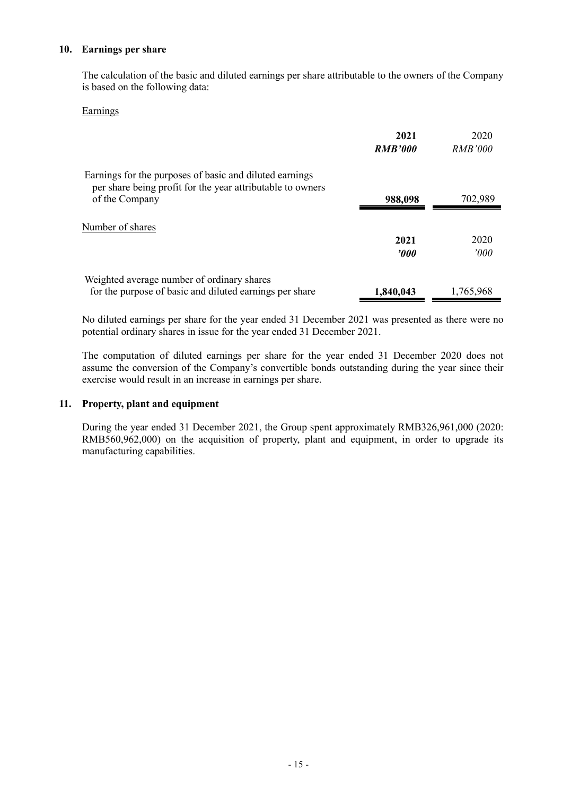#### **10. Earnings per share**

The calculation of the basic and diluted earnings per share attributable to the owners of the Company is based on the following data:

#### Earnings

|                                                                                                                       | 2021<br><b>RMB'000</b> | 2020<br><i>RMB'000</i> |
|-----------------------------------------------------------------------------------------------------------------------|------------------------|------------------------|
| Earnings for the purposes of basic and diluted earnings<br>per share being profit for the year attributable to owners |                        |                        |
| of the Company                                                                                                        | 988,098                | 702,989                |
| Number of shares                                                                                                      | 2021<br><b>'000</b>    | 2020<br>000'           |
| Weighted average number of ordinary shares<br>for the purpose of basic and diluted earnings per share                 | 1,840,043              | 1,765,968              |

No diluted earnings per share for the year ended 31 December 2021 was presented as there were no potential ordinary shares in issue for the year ended 31 December 2021.

The computation of diluted earnings per share for the year ended 31 December 2020 does not assume the conversion of the Company's convertible bonds outstanding during the year since their exercise would result in an increase in earnings per share.

#### **11. Property, plant and equipment**

During the year ended 31 December 2021, the Group spent approximately RMB326,961,000 (2020: RMB560,962,000) on the acquisition of property, plant and equipment, in order to upgrade its manufacturing capabilities.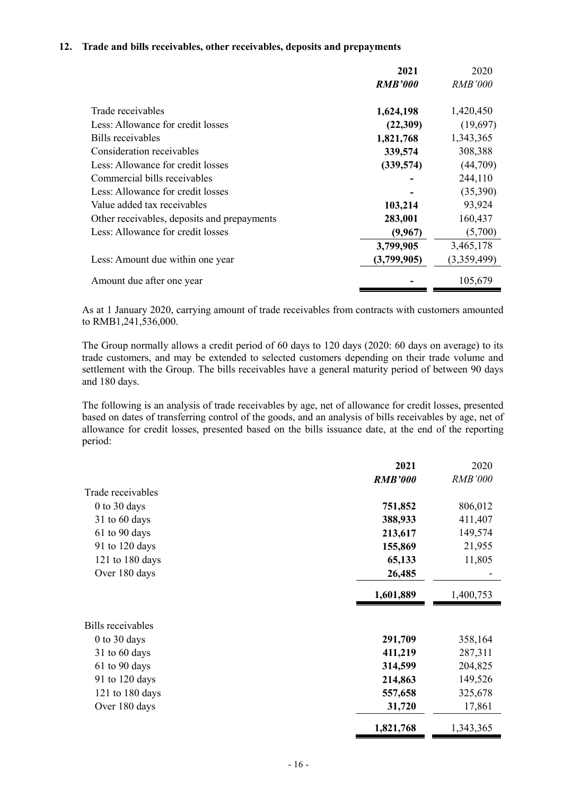#### **12. Trade and bills receivables, other receivables, deposits and prepayments**

|                                             | 2021           | 2020           |
|---------------------------------------------|----------------|----------------|
|                                             | <b>RMB'000</b> | <i>RMB'000</i> |
| Trade receivables                           | 1,624,198      | 1,420,450      |
| Less: Allowance for credit losses           | (22,309)       | (19,697)       |
| Bills receivables                           | 1,821,768      | 1,343,365      |
| Consideration receivables                   | 339,574        | 308,388        |
| Less: Allowance for credit losses           | (339,574)      | (44,709)       |
| Commercial bills receivables                |                | 244,110        |
| Less: Allowance for credit losses           |                | (35,390)       |
| Value added tax receivables                 | 103,214        | 93,924         |
| Other receivables, deposits and prepayments | 283,001        | 160,437        |
| Less: Allowance for credit losses           | (9,967)        | (5,700)        |
|                                             | 3,799,905      | 3,465,178      |
| Less: Amount due within one year            | (3,799,905)    | (3,359,499)    |
| Amount due after one year                   |                | 105,679        |

As at 1 January 2020, carrying amount of trade receivables from contracts with customers amounted to RMB1,241,536,000.

The Group normally allows a credit period of 60 days to 120 days (2020: 60 days on average) to its trade customers, and may be extended to selected customers depending on their trade volume and settlement with the Group. The bills receivables have a general maturity period of between 90 days and 180 days.

The following is an analysis of trade receivables by age, net of allowance for credit losses, presented based on dates of transferring control of the goods, and an analysis of bills receivables by age, net of allowance for credit losses, presented based on the bills issuance date, at the end of the reporting period:

|                          | 2021           | 2020           |
|--------------------------|----------------|----------------|
|                          | <b>RMB'000</b> | <b>RMB'000</b> |
| Trade receivables        |                |                |
| $0$ to 30 days           | 751,852        | 806,012        |
| $31$ to 60 days          | 388,933        | 411,407        |
| 61 to 90 days            | 213,617        | 149,574        |
| 91 to 120 days           | 155,869        | 21,955         |
| 121 to 180 days          | 65,133         | 11,805         |
| Over 180 days            | 26,485         |                |
|                          | 1,601,889      | 1,400,753      |
| <b>Bills</b> receivables |                |                |
| $0$ to 30 days           | 291,709        | 358,164        |
| $31$ to 60 days          | 411,219        | 287,311        |
| 61 to 90 days            | 314,599        | 204,825        |
| 91 to 120 days           | 214,863        | 149,526        |
| 121 to 180 days          | 557,658        | 325,678        |
| Over 180 days            | 31,720         | 17,861         |
|                          | 1,821,768      | 1,343,365      |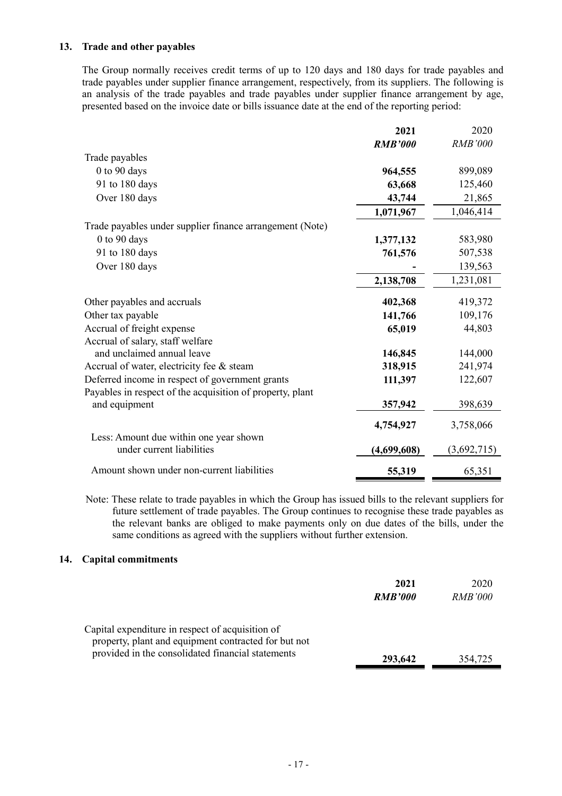## **13. Trade and other payables**

The Group normally receives credit terms of up to 120 days and 180 days for trade payables and trade payables under supplier finance arrangement, respectively, from its suppliers. The following is an analysis of the trade payables and trade payables under supplier finance arrangement by age, presented based on the invoice date or bills issuance date at the end of the reporting period:

|                                                                     | 2021           | 2020           |
|---------------------------------------------------------------------|----------------|----------------|
|                                                                     | <b>RMB'000</b> | <b>RMB'000</b> |
| Trade payables                                                      |                |                |
| 0 to 90 days                                                        | 964,555        | 899,089        |
| 91 to 180 days                                                      | 63,668         | 125,460        |
| Over 180 days                                                       | 43,744         | 21,865         |
|                                                                     | 1,071,967      | 1,046,414      |
| Trade payables under supplier finance arrangement (Note)            |                |                |
| $0$ to $90$ days                                                    | 1,377,132      | 583,980        |
| 91 to 180 days                                                      | 761,576        | 507,538        |
| Over 180 days                                                       |                | 139,563        |
|                                                                     | 2,138,708      | 1,231,081      |
| Other payables and accruals                                         | 402,368        | 419,372        |
| Other tax payable                                                   | 141,766        | 109,176        |
| Accrual of freight expense                                          | 65,019         | 44,803         |
| Accrual of salary, staff welfare                                    |                |                |
| and unclaimed annual leave                                          | 146,845        | 144,000        |
| Accrual of water, electricity fee & steam                           | 318,915        | 241,974        |
| Deferred income in respect of government grants                     | 111,397        | 122,607        |
| Payables in respect of the acquisition of property, plant           |                |                |
| and equipment                                                       | 357,942        | 398,639        |
|                                                                     | 4,754,927      | 3,758,066      |
| Less: Amount due within one year shown<br>under current liabilities | (4,699,608)    | (3,692,715)    |
|                                                                     |                |                |
| Amount shown under non-current liabilities                          | 55,319         | 65,351         |

Note: These relate to trade payables in which the Group has issued bills to the relevant suppliers for future settlement of trade payables. The Group continues to recognise these trade payables as the relevant banks are obliged to make payments only on due dates of the bills, under the same conditions as agreed with the suppliers without further extension.

#### **14. Capital commitments**

|                                                                                                                                                               | 2021<br><b>RMB'000</b> | 2020<br><i>RMB'000</i> |
|---------------------------------------------------------------------------------------------------------------------------------------------------------------|------------------------|------------------------|
| Capital expenditure in respect of acquisition of<br>property, plant and equipment contracted for but not<br>provided in the consolidated financial statements | 293,642                | 354,725                |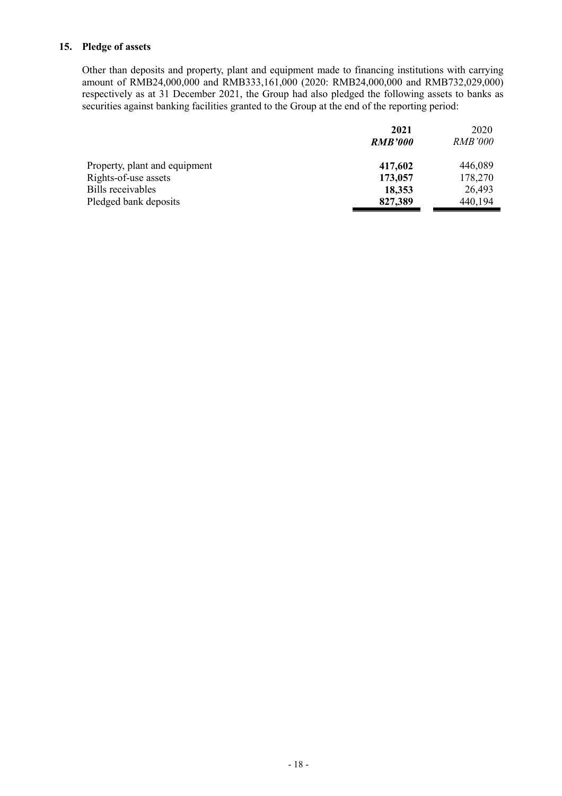### **15. Pledge of assets**

Other than deposits and property, plant and equipment made to financing institutions with carrying amount of RMB24,000,000 and RMB333,161,000 (2020: RMB24,000,000 and RMB732,029,000) respectively as at 31 December 2021, the Group had also pledged the following assets to banks as securities against banking facilities granted to the Group at the end of the reporting period:

|                               | 2021           | 2020           |
|-------------------------------|----------------|----------------|
|                               | <b>RMB'000</b> | <i>RMB'000</i> |
| Property, plant and equipment | 417,602        | 446,089        |
| Rights-of-use assets          | 173,057        | 178,270        |
| Bills receivables             | 18,353         | 26,493         |
| Pledged bank deposits         | 827,389        | 440,194        |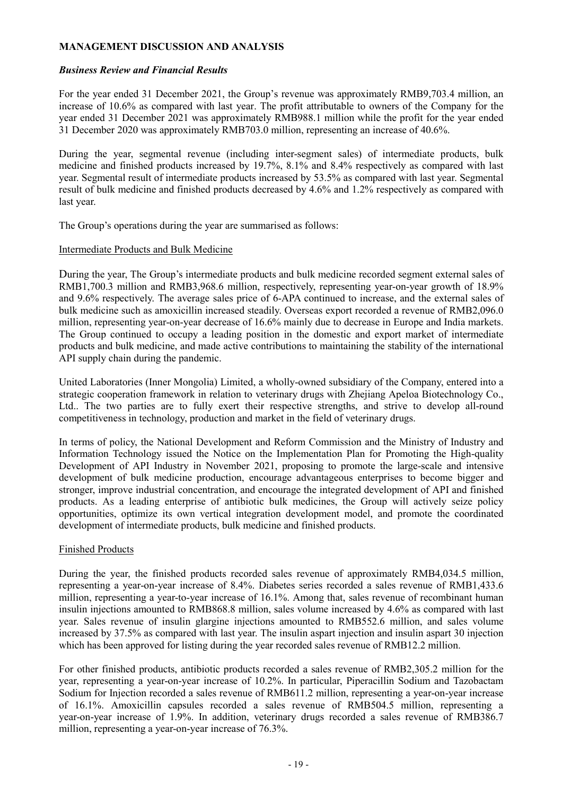## **MANAGEMENT DISCUSSION AND ANALYSIS**

#### *Business Review and Financial Results*

For the year ended 31 December 2021, the Group's revenue was approximately RMB9,703.4 million, an increase of 10.6% as compared with last year. The profit attributable to owners of the Company for the year ended 31 December 2021 was approximately RMB988.1 million while the profit for the year ended 31 December 2020 was approximately RMB703.0 million, representing an increase of 40.6%.

During the year, segmental revenue (including inter-segment sales) of intermediate products, bulk medicine and finished products increased by 19.7%, 8.1% and 8.4% respectively as compared with last year. Segmental result of intermediate products increased by 53.5% as compared with last year. Segmental result of bulk medicine and finished products decreased by 4.6% and 1.2% respectively as compared with last year.

The Group's operations during the year are summarised as follows:

#### Intermediate Products and Bulk Medicine

During the year, The Group's intermediate products and bulk medicine recorded segment external sales of RMB1,700.3 million and RMB3,968.6 million, respectively, representing year-on-year growth of 18.9% and 9.6% respectively. The average sales price of 6-APA continued to increase, and the external sales of bulk medicine such as amoxicillin increased steadily. Overseas export recorded a revenue of RMB2,096.0 million, representing year-on-year decrease of 16.6% mainly due to decrease in Europe and India markets. The Group continued to occupy a leading position in the domestic and export market of intermediate products and bulk medicine, and made active contributions to maintaining the stability of the international API supply chain during the pandemic.

United Laboratories (Inner Mongolia) Limited, a wholly-owned subsidiary of the Company, entered into a strategic cooperation framework in relation to veterinary drugs with Zhejiang Apeloa Biotechnology Co., Ltd.. The two parties are to fully exert their respective strengths, and strive to develop all-round competitiveness in technology, production and market in the field of veterinary drugs.

In terms of policy, the National Development and Reform Commission and the Ministry of Industry and Information Technology issued the Notice on the Implementation Plan for Promoting the High-quality Development of API Industry in November 2021, proposing to promote the large-scale and intensive development of bulk medicine production, encourage advantageous enterprises to become bigger and stronger, improve industrial concentration, and encourage the integrated development of API and finished products. As a leading enterprise of antibiotic bulk medicines, the Group will actively seize policy opportunities, optimize its own vertical integration development model, and promote the coordinated development of intermediate products, bulk medicine and finished products.

#### Finished Products

During the year, the finished products recorded sales revenue of approximately RMB4,034.5 million, representing a year-on-year increase of 8.4%. Diabetes series recorded a sales revenue of RMB1,433.6 million, representing a year-to-year increase of 16.1%. Among that, sales revenue of recombinant human insulin injections amounted to RMB868.8 million, sales volume increased by 4.6% as compared with last year. Sales revenue of insulin glargine injections amounted to RMB552.6 million, and sales volume increased by 37.5% as compared with last year. The insulin aspart injection and insulin aspart 30 injection which has been approved for listing during the year recorded sales revenue of RMB12.2 million.

For other finished products, antibiotic products recorded a sales revenue of RMB2,305.2 million for the year, representing a year-on-year increase of 10.2%. In particular, Piperacillin Sodium and Tazobactam Sodium for Injection recorded a sales revenue of RMB611.2 million, representing a year-on-year increase of 16.1%. Amoxicillin capsules recorded a sales revenue of RMB504.5 million, representing a year-on-year increase of 1.9%. In addition, veterinary drugs recorded a sales revenue of RMB386.7 million, representing a year-on-year increase of 76.3%.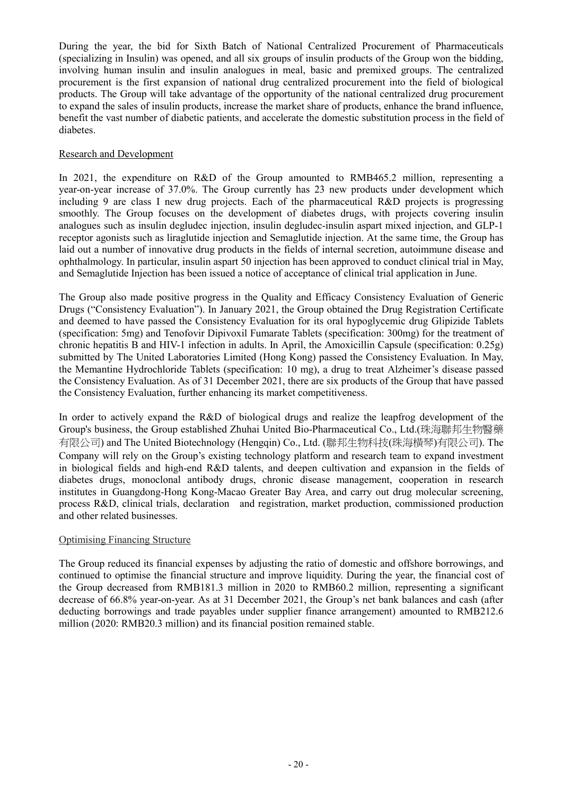During the year, the bid for Sixth Batch of National Centralized Procurement of Pharmaceuticals (specializing in Insulin) was opened, and all six groups of insulin products of the Group won the bidding, involving human insulin and insulin analogues in meal, basic and premixed groups. The centralized procurement is the first expansion of national drug centralized procurement into the field of biological products. The Group will take advantage of the opportunity of the national centralized drug procurement to expand the sales of insulin products, increase the market share of products, enhance the brand influence, benefit the vast number of diabetic patients, and accelerate the domestic substitution process in the field of diabetes.

## Research and Development

In 2021, the expenditure on R&D of the Group amounted to RMB465.2 million, representing a year-on-year increase of 37.0%. The Group currently has 23 new products under development which including 9 are class I new drug projects. Each of the pharmaceutical R&D projects is progressing smoothly. The Group focuses on the development of diabetes drugs, with projects covering insulin analogues such as insulin degludec injection, insulin degludec-insulin aspart mixed injection, and GLP-1 receptor agonists such as liraglutide injection and Semaglutide injection. At the same time, the Group has laid out a number of innovative drug products in the fields of internal secretion, autoimmune disease and ophthalmology. In particular, insulin aspart 50 injection has been approved to conduct clinical trial in May, and Semaglutide Injection has been issued a notice of acceptance of clinical trial application in June.

The Group also made positive progress in the Quality and Efficacy Consistency Evaluation of Generic Drugs ("Consistency Evaluation"). In January 2021, the Group obtained the Drug Registration Certificate and deemed to have passed the Consistency Evaluation for its oral hypoglycemic drug Glipizide Tablets (specification: 5mg) and Tenofovir Dipivoxil Fumarate Tablets (specification: 300mg) for the treatment of chronic hepatitis B and HIV-1 infection in adults. In April, the Amoxicillin Capsule (specification: 0.25g) submitted by The United Laboratories Limited (Hong Kong) passed the Consistency Evaluation. In May, the Memantine Hydrochloride Tablets (specification: 10 mg), a drug to treat Alzheimer's disease passed the Consistency Evaluation. As of 31 December 2021, there are six products of the Group that have passed the Consistency Evaluation, further enhancing its market competitiveness.

In order to actively expand the R&D of biological drugs and realize the leapfrog development of the Group's business, the Group established Zhuhai United Bio-Pharmaceutical Co., Ltd.(珠海聯邦生物醫藥 有限公司) and The United Biotechnology (Hengqin) Co., Ltd. (聯邦生物科技(珠海橫琴)有限公司). The Company will rely on the Group's existing technology platform and research team to expand investment in biological fields and high-end R&D talents, and deepen cultivation and expansion in the fields of diabetes drugs, monoclonal antibody drugs, chronic disease management, cooperation in research institutes in Guangdong-Hong Kong-Macao Greater Bay Area, and carry out drug molecular screening, process R&D, clinical trials, declaration and registration, market production, commissioned production and other related businesses.

## Optimising Financing Structure

The Group reduced its financial expenses by adjusting the ratio of domestic and offshore borrowings, and continued to optimise the financial structure and improve liquidity. During the year, the financial cost of the Group decreased from RMB181.3 million in 2020 to RMB60.2 million, representing a significant decrease of 66.8% year-on-year. As at 31 December 2021, the Group's net bank balances and cash (after deducting borrowings and trade payables under supplier finance arrangement) amounted to RMB212.6 million (2020: RMB20.3 million) and its financial position remained stable.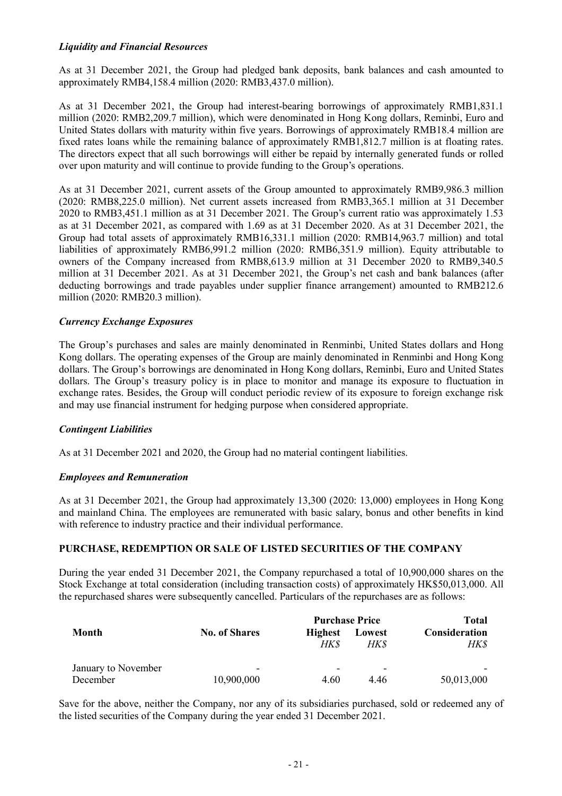## *Liquidity and Financial Resources*

As at 31 December 2021, the Group had pledged bank deposits, bank balances and cash amounted to approximately RMB4,158.4 million (2020: RMB3,437.0 million).

As at 31 December 2021, the Group had interest-bearing borrowings of approximately RMB1,831.1 million (2020: RMB2,209.7 million), which were denominated in Hong Kong dollars, Reminbi, Euro and United States dollars with maturity within five years. Borrowings of approximately RMB18.4 million are fixed rates loans while the remaining balance of approximately RMB1,812.7 million is at floating rates. The directors expect that all such borrowings will either be repaid by internally generated funds or rolled over upon maturity and will continue to provide funding to the Group's operations.

As at 31 December 2021, current assets of the Group amounted to approximately RMB9,986.3 million (2020: RMB8,225.0 million). Net current assets increased from RMB3,365.1 million at 31 December 2020 to RMB3,451.1 million as at 31 December 2021. The Group's current ratio was approximately 1.53 as at 31 December 2021, as compared with 1.69 as at 31 December 2020. As at 31 December 2021, the Group had total assets of approximately RMB16,331.1 million (2020: RMB14,963.7 million) and total liabilities of approximately RMB6,991.2 million (2020: RMB6,351.9 million). Equity attributable to owners of the Company increased from RMB8,613.9 million at 31 December 2020 to RMB9,340.5 million at 31 December 2021. As at 31 December 2021, the Group's net cash and bank balances (after deducting borrowings and trade payables under supplier finance arrangement) amounted to RMB212.6 million (2020: RMB20.3 million).

#### *Currency Exchange Exposures*

The Group's purchases and sales are mainly denominated in Renminbi, United States dollars and Hong Kong dollars. The operating expenses of the Group are mainly denominated in Renminbi and Hong Kong dollars. The Group's borrowings are denominated in Hong Kong dollars, Reminbi, Euro and United States dollars. The Group's treasury policy is in place to monitor and manage its exposure to fluctuation in exchange rates. Besides, the Group will conduct periodic review of its exposure to foreign exchange risk and may use financial instrument for hedging purpose when considered appropriate.

## *Contingent Liabilities*

As at 31 December 2021 and 2020, the Group had no material contingent liabilities.

#### *Employees and Remuneration*

As at 31 December 2021, the Group had approximately 13,300 (2020: 13,000) employees in Hong Kong and mainland China. The employees are remunerated with basic salary, bonus and other benefits in kind with reference to industry practice and their individual performance.

#### **PURCHASE, REDEMPTION OR SALE OF LISTED SECURITIES OF THE COMPANY**

During the year ended 31 December 2021, the Company repurchased a total of 10,900,000 shares on the Stock Exchange at total consideration (including transaction costs) of approximately HK\$50,013,000. All the repurchased shares were subsequently cancelled. Particulars of the repurchases are as follows:

|                     |                          | <b>Purchase Price</b> |        | Total                |
|---------------------|--------------------------|-----------------------|--------|----------------------|
| Month               | <b>No. of Shares</b>     | <b>Highest</b>        | Lowest | <b>Consideration</b> |
|                     |                          | HK \$                 | HK\$   | HK\$                 |
| January to November | $\overline{\phantom{0}}$ | -                     | -      |                      |
| December            | 10,900,000               | 4.60                  | 4.46   | 50,013,000           |

Save for the above, neither the Company, nor any of its subsidiaries purchased, sold or redeemed any of the listed securities of the Company during the year ended 31 December 2021.